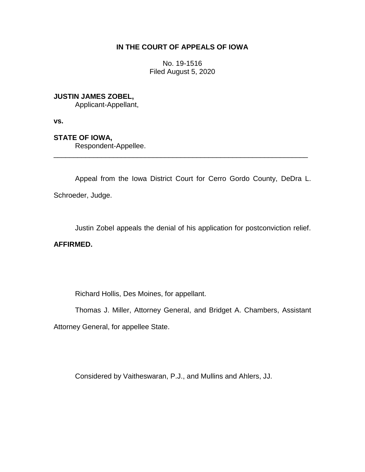## **IN THE COURT OF APPEALS OF IOWA**

No. 19-1516 Filed August 5, 2020

**JUSTIN JAMES ZOBEL,**

Applicant-Appellant,

**vs.**

**STATE OF IOWA,**

Respondent-Appellee.

Appeal from the Iowa District Court for Cerro Gordo County, DeDra L. Schroeder, Judge.

\_\_\_\_\_\_\_\_\_\_\_\_\_\_\_\_\_\_\_\_\_\_\_\_\_\_\_\_\_\_\_\_\_\_\_\_\_\_\_\_\_\_\_\_\_\_\_\_\_\_\_\_\_\_\_\_\_\_\_\_\_\_\_\_

Justin Zobel appeals the denial of his application for postconviction relief.

**AFFIRMED.**

Richard Hollis, Des Moines, for appellant.

Thomas J. Miller, Attorney General, and Bridget A. Chambers, Assistant

Attorney General, for appellee State.

Considered by Vaitheswaran, P.J., and Mullins and Ahlers, JJ.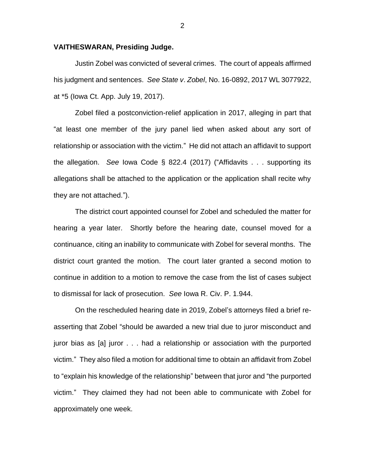## **VAITHESWARAN, Presiding Judge.**

Justin Zobel was convicted of several crimes. The court of appeals affirmed his judgment and sentences. *See State v*. *Zobel*, No. 16-0892, 2017 WL 3077922, at \*5 (Iowa Ct. App. July 19, 2017).

Zobel filed a postconviction-relief application in 2017, alleging in part that "at least one member of the jury panel lied when asked about any sort of relationship or association with the victim." He did not attach an affidavit to support the allegation. *See* Iowa Code § 822.4 (2017) ("Affidavits . . . supporting its allegations shall be attached to the application or the application shall recite why they are not attached.").

The district court appointed counsel for Zobel and scheduled the matter for hearing a year later. Shortly before the hearing date, counsel moved for a continuance, citing an inability to communicate with Zobel for several months. The district court granted the motion. The court later granted a second motion to continue in addition to a motion to remove the case from the list of cases subject to dismissal for lack of prosecution. *See* Iowa R. Civ. P. 1.944.

On the rescheduled hearing date in 2019, Zobel's attorneys filed a brief reasserting that Zobel "should be awarded a new trial due to juror misconduct and juror bias as [a] juror . . . had a relationship or association with the purported victim." They also filed a motion for additional time to obtain an affidavit from Zobel to "explain his knowledge of the relationship" between that juror and "the purported victim." They claimed they had not been able to communicate with Zobel for approximately one week.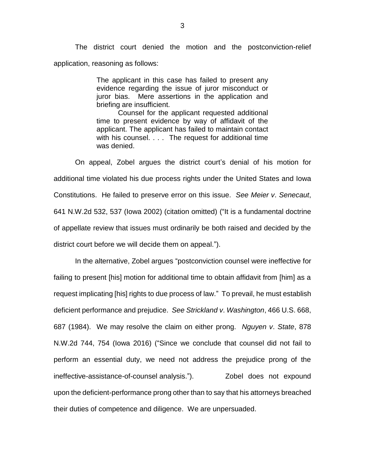The district court denied the motion and the postconviction-relief application, reasoning as follows:

> The applicant in this case has failed to present any evidence regarding the issue of juror misconduct or juror bias. Mere assertions in the application and briefing are insufficient.

> Counsel for the applicant requested additional time to present evidence by way of affidavit of the applicant. The applicant has failed to maintain contact with his counsel. . . . The request for additional time was denied.

On appeal, Zobel argues the district court's denial of his motion for additional time violated his due process rights under the United States and Iowa Constitutions. He failed to preserve error on this issue. *See Meier v*. *Senecaut*, 641 N.W.2d 532, 537 (Iowa 2002) (citation omitted) ("It is a fundamental doctrine of appellate review that issues must ordinarily be both raised and decided by the district court before we will decide them on appeal.").

In the alternative, Zobel argues "postconviction counsel were ineffective for failing to present [his] motion for additional time to obtain affidavit from [him] as a request implicating [his] rights to due process of law." To prevail, he must establish deficient performance and prejudice. *See Strickland v*. *Washington*, 466 U.S. 668, 687 (1984). We may resolve the claim on either prong. *Nguyen v*. *State*, 878 N.W.2d 744, 754 (Iowa 2016) ("Since we conclude that counsel did not fail to perform an essential duty, we need not address the prejudice prong of the ineffective-assistance-of-counsel analysis."). Zobel does not expound upon the deficient-performance prong other than to say that his attorneys breached their duties of competence and diligence. We are unpersuaded.